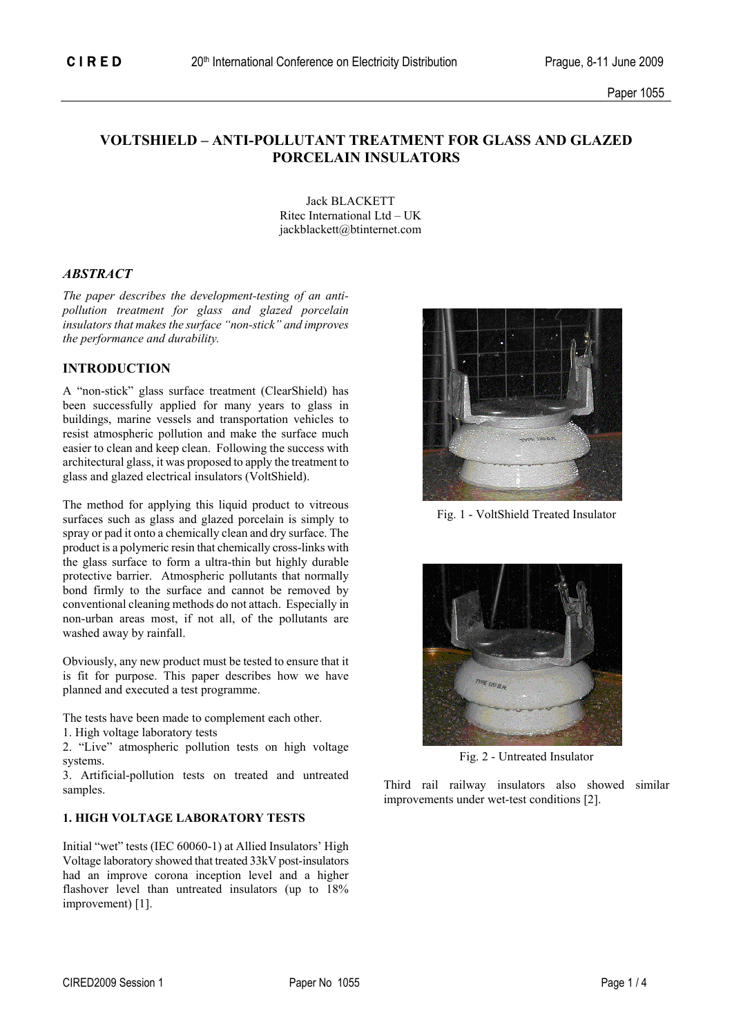# **VOLTSHIELD – ANTI-POLLUTANT TREATMENT FOR GLASS AND GLAZED PORCELAIN INSULATORS**

 Jack BLACKETT Ritec International Ltd – UK jackblackett@btinternet.com

# *ABSTRACT*

*The paper describes the development-testing of an antipollution treatment for glass and glazed porcelain insulators that makes the surface "non-stick" and improves the performance and durability.* 

# **INTRODUCTION**

A "non-stick" glass surface treatment (ClearShield) has been successfully applied for many years to glass in buildings, marine vessels and transportation vehicles to resist atmospheric pollution and make the surface much easier to clean and keep clean. Following the success with architectural glass, it was proposed to apply the treatment to glass and glazed electrical insulators (VoltShield).

The method for applying this liquid product to vitreous surfaces such as glass and glazed porcelain is simply to spray or pad it onto a chemically clean and dry surface. The product is a polymeric resin that chemically cross-links with the glass surface to form a ultra-thin but highly durable protective barrier. Atmospheric pollutants that normally bond firmly to the surface and cannot be removed by conventional cleaning methods do not attach. Especially in non-urban areas most, if not all, of the pollutants are washed away by rainfall.

Obviously, any new product must be tested to ensure that it is fit for purpose. This paper describes how we have planned and executed a test programme.

The tests have been made to complement each other.

1. High voltage laboratory tests

2. "Live" atmospheric pollution tests on high voltage systems. Fig. 2 - Untreated Insulator

3. Artificial-pollution tests on treated and untreated samples.<br>
Samples and the samples of the called the trail railway insulators also showed similar

## **1. HIGH VOLTAGE LABORATORY TESTS**

Initial "wet" tests (IEC 60060-1) at Allied Insulators' High Voltage laboratory showed that treated 33kV post-insulators had an improve corona inception level and a higher flashover level than untreated insulators (up to  $18\%$ improvement) [1].



Fig. 1 - VoltShield Treated Insulator



improvements under wet-test conditions [2].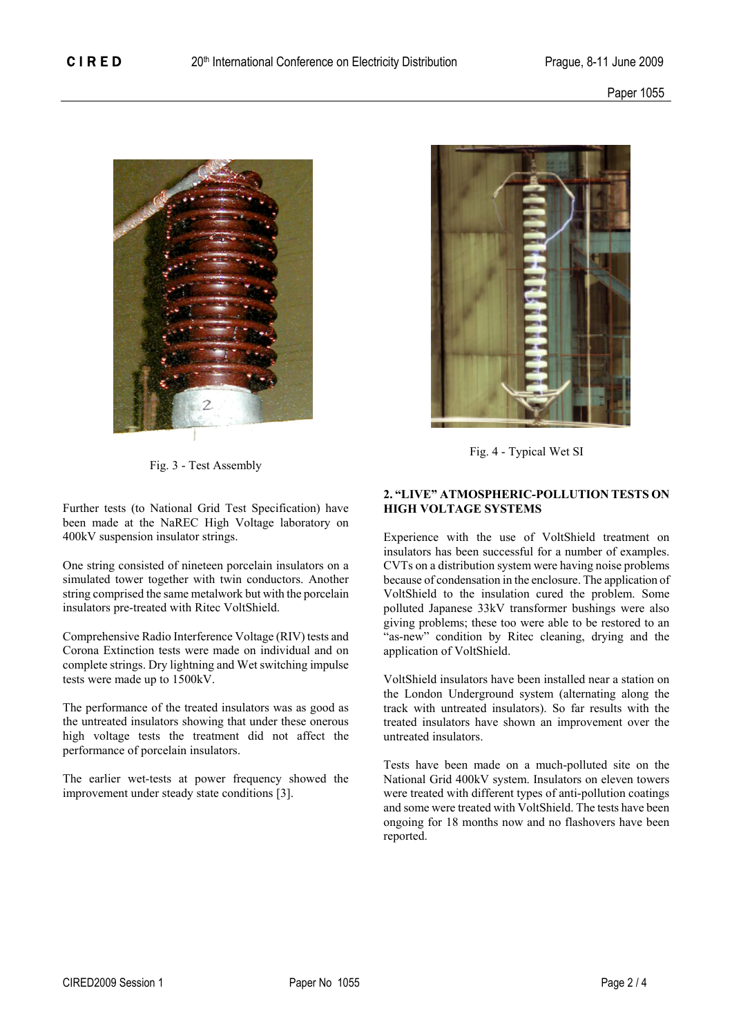

Fig. 3 - Test Assembly

Further tests (to National Grid Test Specification) have been made at the NaREC High Voltage laboratory on 400kV suspension insulator strings.

One string consisted of nineteen porcelain insulators on a simulated tower together with twin conductors. Another string comprised the same metalwork but with the porcelain insulators pre-treated with Ritec VoltShield.

Comprehensive Radio Interference Voltage (RIV) tests and Corona Extinction tests were made on individual and on complete strings. Dry lightning and Wet switching impulse tests were made up to 1500kV.

The performance of the treated insulators was as good as the untreated insulators showing that under these onerous high voltage tests the treatment did not affect the performance of porcelain insulators.

The earlier wet-tests at power frequency showed the improvement under steady state conditions [3].



Fig. 4 - Typical Wet SI

# **2. "LIVE" ATMOSPHERIC-POLLUTION TESTS ON HIGH VOLTAGE SYSTEMS**

Experience with the use of VoltShield treatment on insulators has been successful for a number of examples. CVTs on a distribution system were having noise problems because of condensation in the enclosure. The application of VoltShield to the insulation cured the problem. Some polluted Japanese 33kV transformer bushings were also giving problems; these too were able to be restored to an "as-new" condition by Ritec cleaning, drying and the application of VoltShield.

VoltShield insulators have been installed near a station on the London Underground system (alternating along the track with untreated insulators). So far results with the treated insulators have shown an improvement over the untreated insulators.

Tests have been made on a much-polluted site on the National Grid 400kV system. Insulators on eleven towers were treated with different types of anti-pollution coatings and some were treated with VoltShield. The tests have been ongoing for 18 months now and no flashovers have been reported.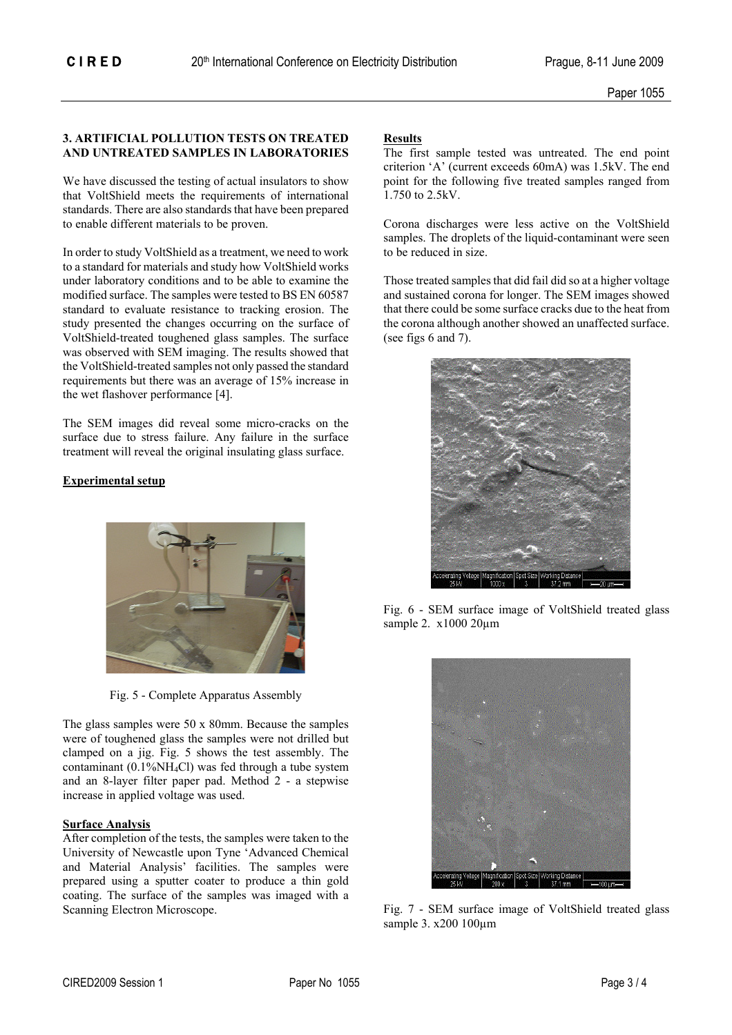### **3. ARTIFICIAL POLLUTION TESTS ON TREATED Results AND UNTREATED SAMPLES IN LABORATORIES** The first sample tested was untreated. The end point

We have discussed the testing of actual insulators to show that VoltShield meets the requirements of international standards. There are also standards that have been prepared to enable different materials to be proven. Corona discharges were less active on the VoltShield

In order to study VoltShield as a treatment, we need to work to be reduced in size. to a standard for materials and study how VoltShield works under laboratory conditions and to be able to examine the modified surface. The samples were tested to BS EN 60587 standard to evaluate resistance to tracking erosion. The study presented the changes occurring on the surface of VoltShield-treated toughened glass samples. The surface was observed with SEM imaging. The results showed that the VoltShield-treated samples not only passed the standard requirements but there was an average of 15% increase in the wet flashover performance [4].

The SEM images did reveal some micro-cracks on the surface due to stress failure. Any failure in the surface treatment will reveal the original insulating glass surface.

# **Experimental setup**



Fig. 5 - Complete Apparatus Assembly

The glass samples were 50 x 80mm. Because the samples were of toughened glass the samples were not drilled but clamped on a jig. Fig. 5 shows the test assembly. The contaminant  $(0.1\%NH<sub>4</sub>Cl)$  was fed through a tube system and an 8-layer filter paper pad. Method 2 - a stepwise increase in applied voltage was used.

## **Surface Analysis**

After completion of the tests, the samples were taken to the University of Newcastle upon Tyne 'Advanced Chemical and Material Analysis' facilities. The samples were prepared using a sputter coater to produce a thin gold coating. The surface of the samples was imaged with a Scanning Electron Microscope. The Fig. 7 - SEM surface image of VoltShield treated glass

criterion 'A' (current exceeds 60mA) was 1.5kV. The end point for the following five treated samples ranged from 1.750 to 2.5kV.

samples. The droplets of the liquid-contaminant were seen

Those treated samples that did fail did so at a higher voltage and sustained corona for longer. The SEM images showed that there could be some surface cracks due to the heat from the corona although another showed an unaffected surface. (see figs 6 and 7).



Fig. 6 - SEM surface image of VoltShield treated glass sample 2. x1000 20µm



sample 3. x200 100µm